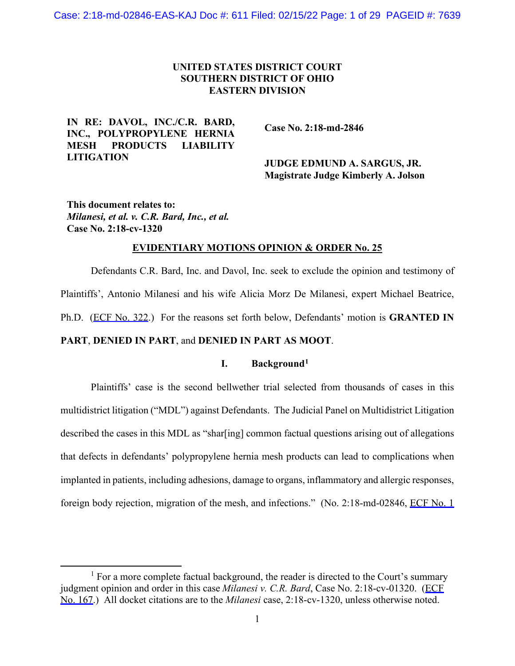## **UNITED STATES DISTRICT COURT SOUTHERN DISTRICT OF OHIO EASTERN DIVISION**

## **IN RE: DAVOL, INC./C.R. BARD, INC., POLYPROPYLENE HERNIA MESH PRODUCTS LIABILITY LITIGATION**

 **Case No. 2:18-md-2846**

## **JUDGE EDMUND A. SARGUS, JR. Magistrate Judge Kimberly A. Jolson**

**This document relates to:**  *Milanesi, et al. v. C.R. Bard, Inc., et al.* **Case No. 2:18-cv-1320**

#### **EVIDENTIARY MOTIONS OPINION & ORDER No. 25**

Defendants C.R. Bard, Inc. and Davol, Inc. seek to exclude the opinion and testimony of Plaintiffs', Antonio Milanesi and his wife Alicia Morz De Milanesi, expert Michael Beatrice, Ph.D. (ECF No. 322.) For the reasons set forth below, Defendants' motion is **GRANTED IN PART**, **DENIED IN PART**, and **DENIED IN PART AS MOOT**.

### **I. Background[1](#page-0-0)**

Plaintiffs' case is the second bellwether trial selected from thousands of cases in this multidistrict litigation ("MDL") against Defendants. The Judicial Panel on Multidistrict Litigation described the cases in this MDL as "shar[ing] common factual questions arising out of allegations that defects in defendants' polypropylene hernia mesh products can lead to complications when implanted in patients, including adhesions, damage to organs, inflammatory and allergic responses, foreign body rejection, migration of the mesh, and infections." (No. 2:18-md-02846, ECF No. 1)

<span id="page-0-0"></span> $<sup>1</sup>$  For a more complete factual background, the reader is directed to the Court's summary</sup> judgment opinion and order in this case *Milanesi v. C.R. Bard*, Case No. 2:18-cv-01320. (ECF No. 167.) All docket citations are to the *Milanesi* case, 2:18-cv-1320, unless otherwise noted.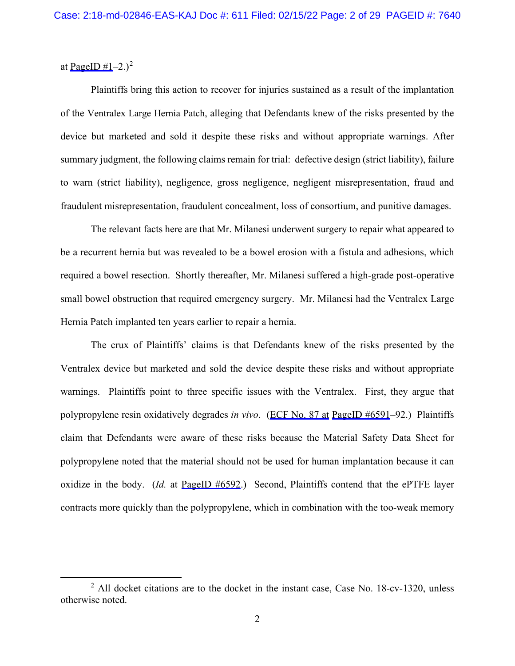at PageID  $\#1-2.$  $\#1-2.$  $\#1-2.$ )<sup>2</sup>

Plaintiffs bring this action to recover for injuries sustained as a result of the implantation of the Ventralex Large Hernia Patch, alleging that Defendants knew of the risks presented by the device but marketed and sold it despite these risks and without appropriate warnings. After summary judgment, the following claims remain for trial: defective design (strict liability), failure to warn (strict liability), negligence, gross negligence, negligent misrepresentation, fraud and fraudulent misrepresentation, fraudulent concealment, loss of consortium, and punitive damages.

The relevant facts here are that Mr. Milanesi underwent surgery to repair what appeared to be a recurrent hernia but was revealed to be a bowel erosion with a fistula and adhesions, which required a bowel resection. Shortly thereafter, Mr. Milanesi suffered a high-grade post-operative small bowel obstruction that required emergency surgery. Mr. Milanesi had the Ventralex Large Hernia Patch implanted ten years earlier to repair a hernia.

The crux of Plaintiffs' claims is that Defendants knew of the risks presented by the Ventralex device but marketed and sold the device despite these risks and without appropriate warnings. Plaintiffs point to three specific issues with the Ventralex. First, they argue that polypropylene resin oxidatively degrades *in vivo*. (ECF No. 87 at PageID #6591–92.) Plaintiffs claim that Defendants were aware of these risks because the Material Safety Data Sheet for polypropylene noted that the material should not be used for human implantation because it can oxidize in the body. (*Id.* at PageID #6592.) Second, Plaintiffs contend that the ePTFE layer contracts more quickly than the polypropylene, which in combination with the too-weak memory

<span id="page-1-0"></span> $2$  All docket citations are to the docket in the instant case, Case No. 18-cv-1320, unless otherwise noted.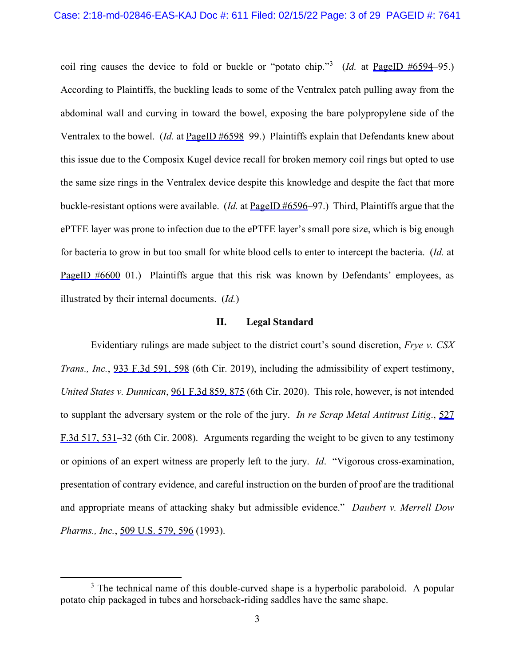coil ring causes the device to fold or buckle or "potato chip."<sup>[3](#page-2-0)</sup> (*Id.* at PageID #6594–95.) According to Plaintiffs, the buckling leads to some of the Ventralex patch pulling away from the abdominal wall and curving in toward the bowel, exposing the bare polypropylene side of the Ventralex to the bowel. (*Id.* at PageID #6598–99.) Plaintiffs explain that Defendants knew about this issue due to the Composix Kugel device recall for broken memory coil rings but opted to use the same size rings in the Ventralex device despite this knowledge and despite the fact that more buckle-resistant options were available. (*Id.* at PageID #6596–97.) Third, Plaintiffs argue that the ePTFE layer was prone to infection due to the ePTFE layer's small pore size, which is big enough for bacteria to grow in but too small for white blood cells to enter to intercept the bacteria. (*Id.* at PageID #6600–01.) Plaintiffs argue that this risk was known by Defendants' employees, as illustrated by their internal documents. (*Id.*)

### **II. Legal Standard**

Evidentiary rulings are made subject to the district court's sound discretion, *Frye v. CSX Trans., Inc.*, 933 F.3d 591, 598 (6th Cir. 2019), including the admissibility of expert testimony, *United States v. Dunnican*, 961 F.3d 859, 875 (6th Cir. 2020). This role, however, is not intended to supplant the adversary system or the role of the jury. *In re Scrap Metal Antitrust Litig*., 527 F.3d 517, 531–32 (6th Cir. 2008). Arguments regarding the weight to be given to any testimony or opinions of an expert witness are properly left to the jury. *Id*. "Vigorous cross-examination, presentation of contrary evidence, and careful instruction on the burden of proof are the traditional and appropriate means of attacking shaky but admissible evidence." *Daubert v. Merrell Dow Pharms., Inc.*, 509 U.S. 579, 596 (1993).

<span id="page-2-0"></span> $3$  The technical name of this double-curved shape is a hyperbolic paraboloid. A popular potato chip packaged in tubes and horseback-riding saddles have the same shape.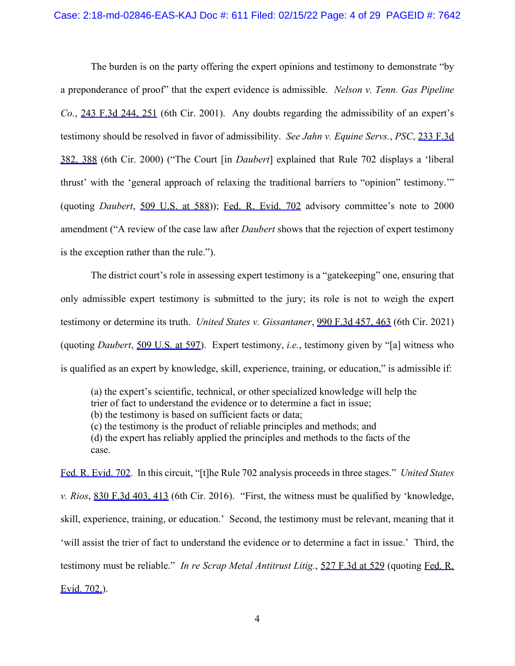The burden is on the party offering the expert opinions and testimony to demonstrate "by a preponderance of proof" that the expert evidence is admissible. *Nelson v. Tenn. Gas Pipeline Co.*, 243 F.3d 244, 251 (6th Cir. 2001). Any doubts regarding the admissibility of an expert's testimony should be resolved in favor of admissibility. *See Jahn v. Equine Servs.*, *PSC*, 233 F.3d 382, 388 (6th Cir. 2000) ("The Court [in *Daubert*] explained that Rule 702 displays a 'liberal thrust' with the 'general approach of relaxing the traditional barriers to "opinion" testimony.'" (quoting *Daubert*, 509 U.S. at 588)); Fed. R. Evid. 702 advisory committee's note to 2000 amendment ("A review of the case law after *Daubert* shows that the rejection of expert testimony is the exception rather than the rule.").

The district court's role in assessing expert testimony is a "gatekeeping" one, ensuring that only admissible expert testimony is submitted to the jury; its role is not to weigh the expert testimony or determine its truth. *United States v. Gissantaner*, 990 F.3d 457, 463 (6th Cir. 2021) (quoting *Daubert*, 509 U.S. at 597). Expert testimony, *i.e.*, testimony given by "[a] witness who is qualified as an expert by knowledge, skill, experience, training, or education," is admissible if:

(a) the expert's scientific, technical, or other specialized knowledge will help the trier of fact to understand the evidence or to determine a fact in issue; (b) the testimony is based on sufficient facts or data; (c) the testimony is the product of reliable principles and methods; and (d) the expert has reliably applied the principles and methods to the facts of the case.

Fed. R. Evid. 702. In this circuit, "[t]he Rule 702 analysis proceeds in three stages." *United States v. Rios*, 830 F.3d 403, 413 (6th Cir. 2016). "First, the witness must be qualified by 'knowledge, skill, experience, training, or education.' Second, the testimony must be relevant, meaning that it 'will assist the trier of fact to understand the evidence or to determine a fact in issue.' Third, the testimony must be reliable." *In re Scrap Metal Antitrust Litig.*, 527 F.3d at 529 (quoting Fed. R. Evid. 702.).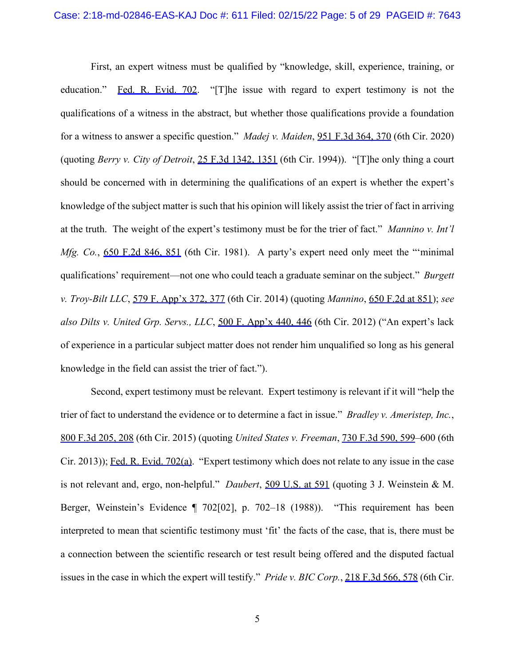First, an expert witness must be qualified by "knowledge, skill, experience, training, or education." Fed. R. Evid. 702. "[T]he issue with regard to expert testimony is not the qualifications of a witness in the abstract, but whether those qualifications provide a foundation for a witness to answer a specific question." *Madej v. Maiden*, 951 F.3d 364, 370 (6th Cir. 2020) (quoting *Berry v. City of Detroit*, 25 F.3d 1342, 1351 (6th Cir. 1994)). "[T]he only thing a court should be concerned with in determining the qualifications of an expert is whether the expert's knowledge of the subject matter is such that his opinion will likely assist the trier of fact in arriving at the truth. The weight of the expert's testimony must be for the trier of fact." *Mannino v. Int'l Mfg. Co.*, 650 F.2d 846, 851 (6th Cir. 1981). A party's expert need only meet the "'minimal qualifications' requirement—not one who could teach a graduate seminar on the subject." *Burgett v. Troy-Bilt LLC*, 579 F. App'x 372, 377 (6th Cir. 2014) (quoting *Mannino*, 650 F.2d at 851); *see also Dilts v. United Grp. Servs., LLC*, 500 F. App'x 440, 446 (6th Cir. 2012) ("An expert's lack of experience in a particular subject matter does not render him unqualified so long as his general knowledge in the field can assist the trier of fact.").

Second, expert testimony must be relevant. Expert testimony is relevant if it will "help the trier of fact to understand the evidence or to determine a fact in issue." *Bradley v. Ameristep, Inc.*, 800 F.3d 205, 208 (6th Cir. 2015) (quoting *United States v. Freeman*, 730 F.3d 590, 599–600 (6th Cir. 2013)); Fed. R. Evid. 702(a). "Expert testimony which does not relate to any issue in the case is not relevant and, ergo, non-helpful." *Daubert*, 509 U.S. at 591 (quoting 3 J. Weinstein & M. Berger, Weinstein's Evidence ¶ 702[02], p. 702–18 (1988)). "This requirement has been interpreted to mean that scientific testimony must 'fit' the facts of the case, that is, there must be a connection between the scientific research or test result being offered and the disputed factual issues in the case in which the expert will testify." *Pride v. BIC Corp.*, 218 F.3d 566, 578 (6th Cir.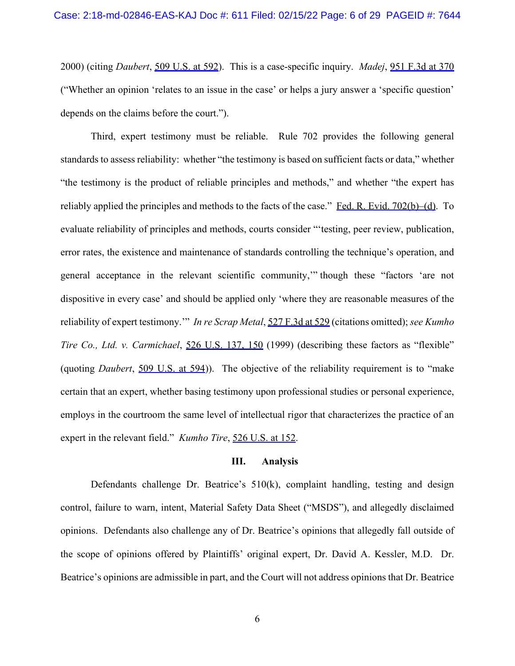2000) (citing *Daubert*, 509 U.S. at 592). This is a case-specific inquiry. *Madej*, 951 F.3d at 370 ("Whether an opinion 'relates to an issue in the case' or helps a jury answer a 'specific question' depends on the claims before the court.").

Third, expert testimony must be reliable. Rule 702 provides the following general standards to assess reliability: whether "the testimony is based on sufficient facts or data," whether "the testimony is the product of reliable principles and methods," and whether "the expert has reliably applied the principles and methods to the facts of the case." Fed. R. Evid.  $702(b)$ –(d). To evaluate reliability of principles and methods, courts consider "'testing, peer review, publication, error rates, the existence and maintenance of standards controlling the technique's operation, and general acceptance in the relevant scientific community,'" though these "factors 'are not dispositive in every case' and should be applied only 'where they are reasonable measures of the reliability of expert testimony.'" *In re Scrap Metal*, 527 F.3d at 529 (citations omitted); *see Kumho Tire Co., Ltd. v. Carmichael*, 526 U.S. 137, 150 (1999) (describing these factors as "flexible" (quoting *Daubert*, 509 U.S. at 594)). The objective of the reliability requirement is to "make certain that an expert, whether basing testimony upon professional studies or personal experience, employs in the courtroom the same level of intellectual rigor that characterizes the practice of an expert in the relevant field." *Kumho Tire*, 526 U.S. at 152.

### **III. Analysis**

Defendants challenge Dr. Beatrice's 510(k), complaint handling, testing and design control, failure to warn, intent, Material Safety Data Sheet ("MSDS"), and allegedly disclaimed opinions. Defendants also challenge any of Dr. Beatrice's opinions that allegedly fall outside of the scope of opinions offered by Plaintiffs' original expert, Dr. David A. Kessler, M.D. Dr. Beatrice's opinions are admissible in part, and the Court will not address opinions that Dr. Beatrice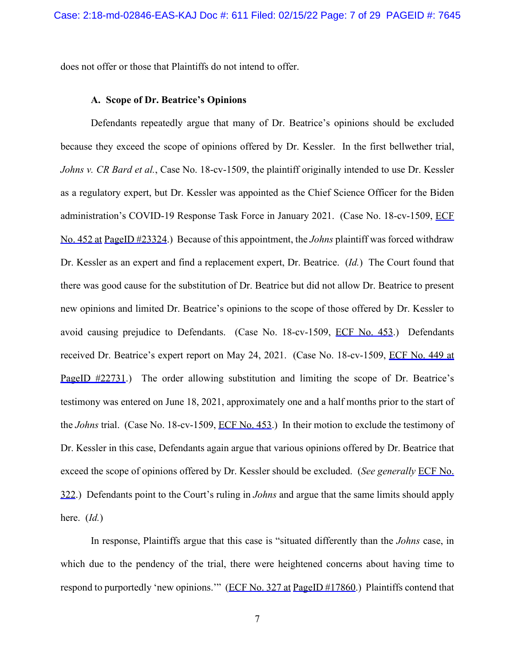does not offer or those that Plaintiffs do not intend to offer.

#### **A. Scope of Dr. Beatrice's Opinions**

Defendants repeatedly argue that many of Dr. Beatrice's opinions should be excluded because they exceed the scope of opinions offered by Dr. Kessler. In the first bellwether trial, *Johns v. CR Bard et al.*, Case No. 18-cv-1509, the plaintiff originally intended to use Dr. Kessler as a regulatory expert, but Dr. Kessler was appointed as the Chief Science Officer for the Biden administration's COVID-19 Response Task Force in January 2021. (Case No. 18-cv-1509, ECF No. 452 at PageID #23324.) Because of this appointment, the *Johns* plaintiff was forced withdraw Dr. Kessler as an expert and find a replacement expert, Dr. Beatrice. (*Id.*) The Court found that there was good cause for the substitution of Dr. Beatrice but did not allow Dr. Beatrice to present new opinions and limited Dr. Beatrice's opinions to the scope of those offered by Dr. Kessler to avoid causing prejudice to Defendants. (Case No. 18-cv-1509, ECF No. 453.) Defendants received Dr. Beatrice's expert report on May 24, 2021. (Case No. 18-cv-1509, ECF No. 449 at PageID #22731.) The order allowing substitution and limiting the scope of Dr. Beatrice's testimony was entered on June 18, 2021, approximately one and a half months prior to the start of the *Johns* trial. (Case No. 18-cv-1509, ECF No. 453.) In their motion to exclude the testimony of Dr. Kessler in this case, Defendants again argue that various opinions offered by Dr. Beatrice that exceed the scope of opinions offered by Dr. Kessler should be excluded. (*See generally* ECF No. 322.) Defendants point to the Court's ruling in *Johns* and argue that the same limits should apply here. (*Id.*)

In response, Plaintiffs argue that this case is "situated differently than the *Johns* case, in which due to the pendency of the trial, there were heightened concerns about having time to respond to purportedly 'new opinions.'" (ECF No. 327 at PageID #17860.) Plaintiffs contend that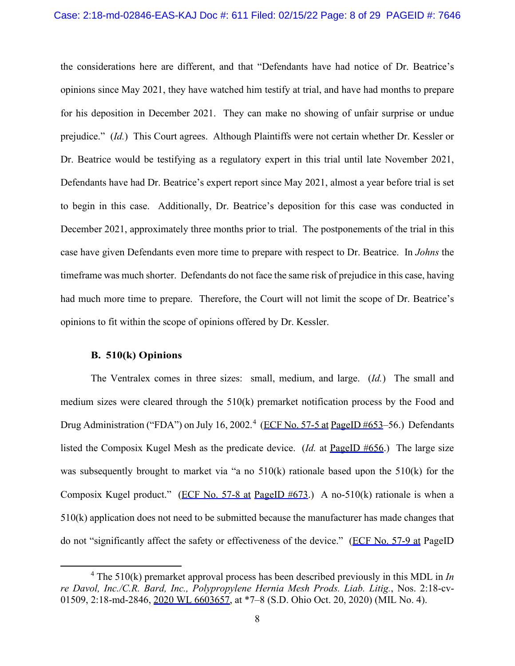the considerations here are different, and that "Defendants have had notice of Dr. Beatrice's opinions since May 2021, they have watched him testify at trial, and have had months to prepare for his deposition in December 2021. They can make no showing of unfair surprise or undue prejudice." (*Id.*) This Court agrees. Although Plaintiffs were not certain whether Dr. Kessler or Dr. Beatrice would be testifying as a regulatory expert in this trial until late November 2021, Defendants have had Dr. Beatrice's expert report since May 2021, almost a year before trial is set to begin in this case. Additionally, Dr. Beatrice's deposition for this case was conducted in December 2021, approximately three months prior to trial. The postponements of the trial in this case have given Defendants even more time to prepare with respect to Dr. Beatrice. In *Johns* the timeframe was much shorter. Defendants do not face the same risk of prejudice in this case, having had much more time to prepare. Therefore, the Court will not limit the scope of Dr. Beatrice's opinions to fit within the scope of opinions offered by Dr. Kessler.

### **B. 510(k) Opinions**

The Ventralex comes in three sizes: small, medium, and large. (*Id.*) The small and medium sizes were cleared through the 510(k) premarket notification process by the Food and Drug Administration ("FDA") on July 16, 2002.<sup>[4](#page-7-0)</sup> (ECF No. 57-5 at PageID #653-56.) Defendants listed the Composix Kugel Mesh as the predicate device. (*Id.* at PageID #656.) The large size was subsequently brought to market via "a no 510(k) rationale based upon the 510(k) for the Composix Kugel product." (ECF No. 57-8 at PageID  $#673$ .) A no-510(k) rationale is when a 510(k) application does not need to be submitted because the manufacturer has made changes that do not "significantly affect the safety or effectiveness of the device." (ECF No. 57-9 at PageID

<span id="page-7-0"></span><sup>4</sup> The 510(k) premarket approval process has been described previously in this MDL in *In re Davol, Inc./C.R. Bard, Inc., Polypropylene Hernia Mesh Prods. Liab. Litig.*, Nos. 2:18-cv-01509, 2:18-md-2846, 2020 WL 6603657, at \*7–8 (S.D. Ohio Oct. 20, 2020) (MIL No. 4).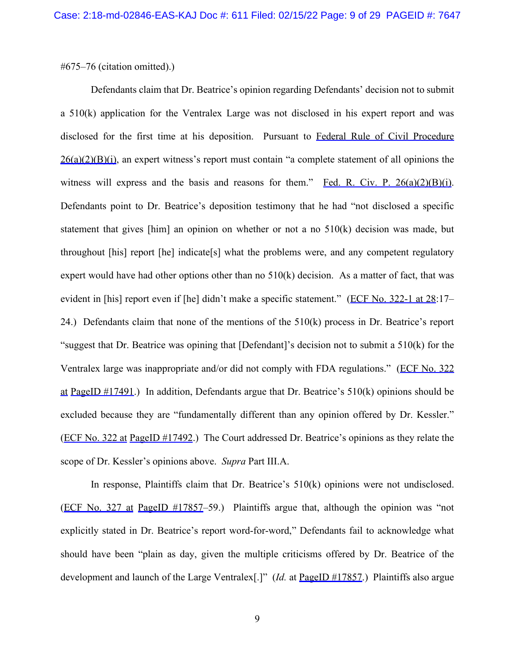#675–76 (citation omitted).)

Defendants claim that Dr. Beatrice's opinion regarding Defendants' decision not to submit a 510(k) application for the Ventralex Large was not disclosed in his expert report and was disclosed for the first time at his deposition. Pursuant to Federal Rule of Civil Procedure  $26(a)(2)(B)(i)$ , an expert witness's report must contain "a complete statement of all opinions the witness will express and the basis and reasons for them." Fed. R. Civ. P.  $26(a)(2)(B)(i)$ . Defendants point to Dr. Beatrice's deposition testimony that he had "not disclosed a specific statement that gives [him] an opinion on whether or not a no 510(k) decision was made, but throughout [his] report [he] indicate[s] what the problems were, and any competent regulatory expert would have had other options other than no  $510(k)$  decision. As a matter of fact, that was evident in [his] report even if [he] didn't make a specific statement." (ECF No. 322-1 at 28:17-24.) Defendants claim that none of the mentions of the 510(k) process in Dr. Beatrice's report "suggest that Dr. Beatrice was opining that [Defendant]'s decision not to submit a 510(k) for the Ventralex large was inappropriate and/or did not comply with FDA regulations." (ECF No. 322 at PageID  $\#17491$ .) In addition, Defendants argue that Dr. Beatrice's 510(k) opinions should be excluded because they are "fundamentally different than any opinion offered by Dr. Kessler." (ECF No. 322 at PageID #17492.) The Court addressed Dr. Beatrice's opinions as they relate the scope of Dr. Kessler's opinions above. *Supra* Part III.A.

In response, Plaintiffs claim that Dr. Beatrice's 510(k) opinions were not undisclosed. (ECF No. 327 at PageID #17857–59.) Plaintiffs argue that, although the opinion was "not explicitly stated in Dr. Beatrice's report word-for-word," Defendants fail to acknowledge what should have been "plain as day, given the multiple criticisms offered by Dr. Beatrice of the development and launch of the Large Ventralex<sup>[.]"</sup> (*Id.* at **PageID** #17857.) Plaintiffs also argue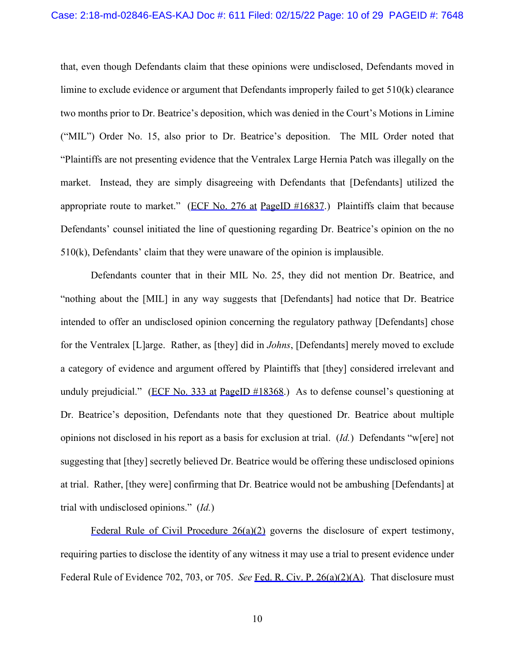#### Case: 2:18-md-02846-EAS-KAJ Doc #: 611 Filed: 02/15/22 Page: 10 of 29 PAGEID #: 7648

that, even though Defendants claim that these opinions were undisclosed, Defendants moved in limine to exclude evidence or argument that Defendants improperly failed to get 510(k) clearance two months prior to Dr. Beatrice's deposition, which was denied in the Court's Motions in Limine ("MIL") Order No. 15, also prior to Dr. Beatrice's deposition. The MIL Order noted that "Plaintiffs are not presenting evidence that the Ventralex Large Hernia Patch was illegally on the market. Instead, they are simply disagreeing with Defendants that [Defendants] utilized the appropriate route to market." (ECF No. 276 at PageID  $\#16837$ .) Plaintiffs claim that because Defendants' counsel initiated the line of questioning regarding Dr. Beatrice's opinion on the no 510(k), Defendants' claim that they were unaware of the opinion is implausible.

Defendants counter that in their MIL No. 25, they did not mention Dr. Beatrice, and "nothing about the [MIL] in any way suggests that [Defendants] had notice that Dr. Beatrice intended to offer an undisclosed opinion concerning the regulatory pathway [Defendants] chose for the Ventralex [L]arge. Rather, as [they] did in *Johns*, [Defendants] merely moved to exclude a category of evidence and argument offered by Plaintiffs that [they] considered irrelevant and unduly prejudicial." (ECF No. 333 at PageID #18368.) As to defense counsel's questioning at Dr. Beatrice's deposition, Defendants note that they questioned Dr. Beatrice about multiple opinions not disclosed in his report as a basis for exclusion at trial. (*Id.*) Defendants "w[ere] not suggesting that [they] secretly believed Dr. Beatrice would be offering these undisclosed opinions at trial. Rather, [they were] confirming that Dr. Beatrice would not be ambushing [Defendants] at trial with undisclosed opinions." (*Id.*)

Federal Rule of Civil Procedure 26(a)(2) governs the disclosure of expert testimony, requiring parties to disclose the identity of any witness it may use a trial to present evidence under Federal Rule of Evidence 702, 703, or 705. *See* Fed. R. Civ. P. 26(a)(2)(A). That disclosure must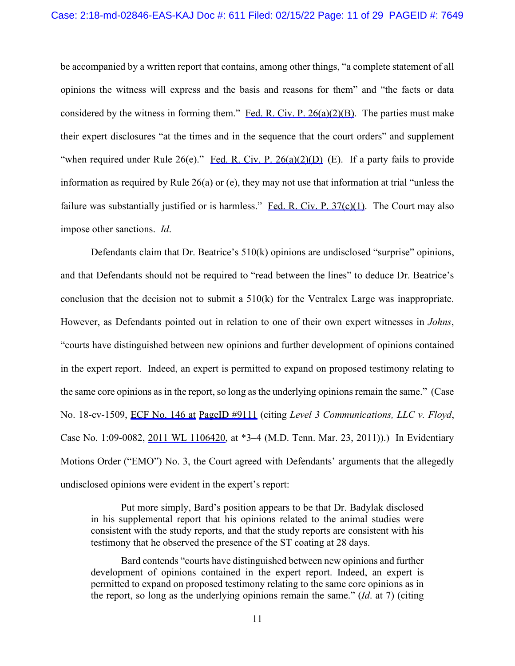be accompanied by a written report that contains, among other things, "a complete statement of all opinions the witness will express and the basis and reasons for them" and "the facts or data considered by the witness in forming them." Fed. R. Civ. P.  $26(a)(2)(B)$ . The parties must make their expert disclosures "at the times and in the sequence that the court orders" and supplement "when required under Rule 26(e)." Fed. R. Civ. P. 26(a)(2)(D)–(E). If a party fails to provide information as required by Rule 26(a) or (e), they may not use that information at trial "unless the failure was substantially justified or is harmless." Fed. R. Civ. P.  $37(c)(1)$ . The Court may also impose other sanctions. *Id*.

Defendants claim that Dr. Beatrice's 510(k) opinions are undisclosed "surprise" opinions, and that Defendants should not be required to "read between the lines" to deduce Dr. Beatrice's conclusion that the decision not to submit a 510(k) for the Ventralex Large was inappropriate. However, as Defendants pointed out in relation to one of their own expert witnesses in *Johns*, "courts have distinguished between new opinions and further development of opinions contained in the expert report. Indeed, an expert is permitted to expand on proposed testimony relating to the same core opinions as in the report, so long as the underlying opinions remain the same." (Case No. 18-cv-1509, ECF No. 146 at PageID #9111 (citing *Level 3 Communications, LLC v. Floyd*, Case No. 1:09-0082, 2011 WL 1106420, at \*3–4 (M.D. Tenn. Mar. 23, 2011)).) In Evidentiary Motions Order ("EMO") No. 3, the Court agreed with Defendants' arguments that the allegedly undisclosed opinions were evident in the expert's report:

Put more simply, Bard's position appears to be that Dr. Badylak disclosed in his supplemental report that his opinions related to the animal studies were consistent with the study reports, and that the study reports are consistent with his testimony that he observed the presence of the ST coating at 28 days.

Bard contends "courts have distinguished between new opinions and further development of opinions contained in the expert report. Indeed, an expert is permitted to expand on proposed testimony relating to the same core opinions as in the report, so long as the underlying opinions remain the same." (*Id*. at 7) (citing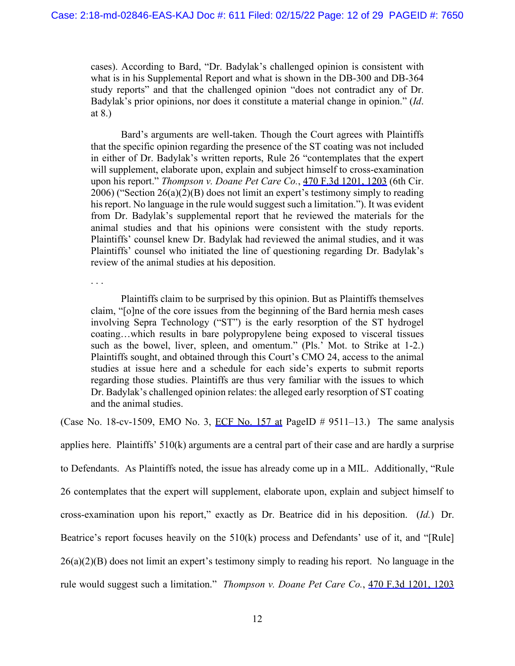cases). According to Bard, "Dr. Badylak's challenged opinion is consistent with what is in his Supplemental Report and what is shown in the DB-300 and DB-364 study reports" and that the challenged opinion "does not contradict any of Dr. Badylak's prior opinions, nor does it constitute a material change in opinion." (*Id*. at 8.)

Bard's arguments are well-taken. Though the Court agrees with Plaintiffs that the specific opinion regarding the presence of the ST coating was not included in either of Dr. Badylak's written reports, Rule 26 "contemplates that the expert will supplement, elaborate upon, explain and subject himself to cross-examination upon his report." *Thompson v. Doane Pet Care Co.*, 470 F.3d 1201, 1203 (6th Cir. 2006) ("Section 26(a)(2)(B) does not limit an expert's testimony simply to reading his report. No language in the rule would suggest such a limitation."). It was evident from Dr. Badylak's supplemental report that he reviewed the materials for the animal studies and that his opinions were consistent with the study reports. Plaintiffs' counsel knew Dr. Badylak had reviewed the animal studies, and it was Plaintiffs' counsel who initiated the line of questioning regarding Dr. Badylak's review of the animal studies at his deposition.

. . .

Plaintiffs claim to be surprised by this opinion. But as Plaintiffs themselves claim, "[o]ne of the core issues from the beginning of the Bard hernia mesh cases involving Sepra Technology ("ST") is the early resorption of the ST hydrogel coating…which results in bare polypropylene being exposed to visceral tissues such as the bowel, liver, spleen, and omentum." (Pls.' Mot. to Strike at 1-2.) Plaintiffs sought, and obtained through this Court's CMO 24, access to the animal studies at issue here and a schedule for each side's experts to submit reports regarding those studies. Plaintiffs are thus very familiar with the issues to which Dr. Badylak's challenged opinion relates: the alleged early resorption of ST coating and the animal studies.

(Case No. 18-cv-1509, EMO No. 3, ECF No. 157 at PageID  $\#$  9511–13.) The same analysis

applies here. Plaintiffs' 510(k) arguments are a central part of their case and are hardly a surprise to Defendants. As Plaintiffs noted, the issue has already come up in a MIL. Additionally, "Rule 26 contemplates that the expert will supplement, elaborate upon, explain and subject himself to cross-examination upon his report," exactly as Dr. Beatrice did in his deposition. (*Id.*) Dr. Beatrice's report focuses heavily on the 510(k) process and Defendants' use of it, and "[Rule]  $26(a)(2)(B)$  does not limit an expert's testimony simply to reading his report. No language in the rule would suggest such a limitation." *Thompson v. Doane Pet Care Co.*, 470 F.3d 1201, 1203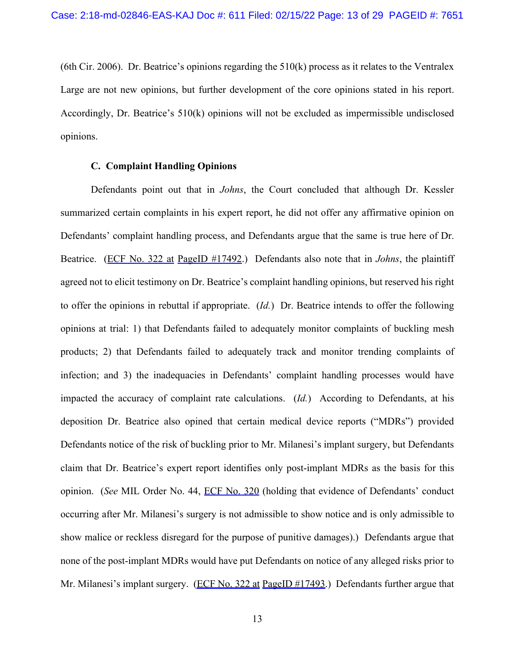(6th Cir. 2006). Dr. Beatrice's opinions regarding the 510(k) process as it relates to the Ventralex Large are not new opinions, but further development of the core opinions stated in his report. Accordingly, Dr. Beatrice's 510(k) opinions will not be excluded as impermissible undisclosed opinions.

### **C. Complaint Handling Opinions**

Defendants point out that in *Johns*, the Court concluded that although Dr. Kessler summarized certain complaints in his expert report, he did not offer any affirmative opinion on Defendants' complaint handling process, and Defendants argue that the same is true here of Dr. Beatrice. (ECF No. 322 at PageID #17492.) Defendants also note that in *Johns*, the plaintiff agreed not to elicit testimony on Dr. Beatrice's complaint handling opinions, but reserved his right to offer the opinions in rebuttal if appropriate. (*Id.*) Dr. Beatrice intends to offer the following opinions at trial: 1) that Defendants failed to adequately monitor complaints of buckling mesh products; 2) that Defendants failed to adequately track and monitor trending complaints of infection; and 3) the inadequacies in Defendants' complaint handling processes would have impacted the accuracy of complaint rate calculations. (*Id.*) According to Defendants, at his deposition Dr. Beatrice also opined that certain medical device reports ("MDRs") provided Defendants notice of the risk of buckling prior to Mr. Milanesi's implant surgery, but Defendants claim that Dr. Beatrice's expert report identifies only post-implant MDRs as the basis for this opinion. (*See* MIL Order No. 44, ECF No. 320 (holding that evidence of Defendants' conduct occurring after Mr. Milanesi's surgery is not admissible to show notice and is only admissible to show malice or reckless disregard for the purpose of punitive damages).) Defendants argue that none of the post-implant MDRs would have put Defendants on notice of any alleged risks prior to Mr. Milanesi's implant surgery. (ECF No. 322 at PageID #17493.) Defendants further argue that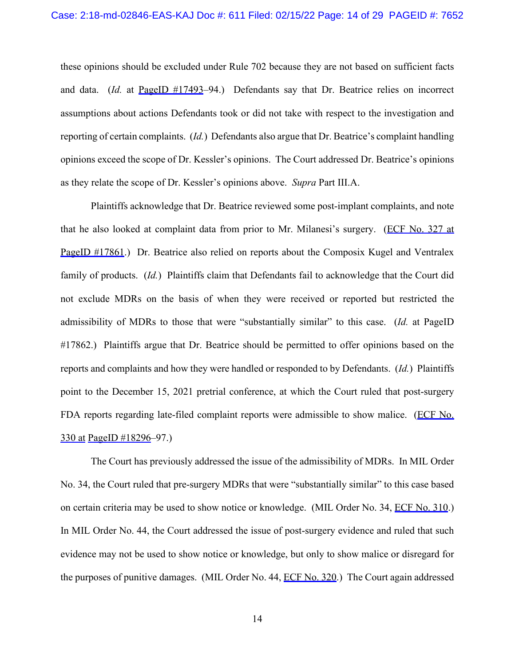these opinions should be excluded under Rule 702 because they are not based on sufficient facts and data. (*Id.* at PageID #17493–94.) Defendants say that Dr. Beatrice relies on incorrect assumptions about actions Defendants took or did not take with respect to the investigation and reporting of certain complaints. (*Id.*) Defendants also argue that Dr. Beatrice's complaint handling opinions exceed the scope of Dr. Kessler's opinions. The Court addressed Dr. Beatrice's opinions as they relate the scope of Dr. Kessler's opinions above. *Supra* Part III.A.

Plaintiffs acknowledge that Dr. Beatrice reviewed some post-implant complaints, and note that he also looked at complaint data from prior to Mr. Milanesi's surgery. (ECF No. 327 at PageID #17861.) Dr. Beatrice also relied on reports about the Composix Kugel and Ventralex family of products. (*Id.*) Plaintiffs claim that Defendants fail to acknowledge that the Court did not exclude MDRs on the basis of when they were received or reported but restricted the admissibility of MDRs to those that were "substantially similar" to this case. (*Id.* at PageID #17862.) Plaintiffs argue that Dr. Beatrice should be permitted to offer opinions based on the reports and complaints and how they were handled or responded to by Defendants. (*Id.*) Plaintiffs point to the December 15, 2021 pretrial conference, at which the Court ruled that post-surgery FDA reports regarding late-filed complaint reports were admissible to show malice. (ECF No. 330 at PageID #18296–97.)

The Court has previously addressed the issue of the admissibility of MDRs. In MIL Order No. 34, the Court ruled that pre-surgery MDRs that were "substantially similar" to this case based on certain criteria may be used to show notice or knowledge. (MIL Order No. 34, ECF No. 310.) In MIL Order No. 44, the Court addressed the issue of post-surgery evidence and ruled that such evidence may not be used to show notice or knowledge, but only to show malice or disregard for the purposes of punitive damages. (MIL Order No. 44, ECF No. 320.) The Court again addressed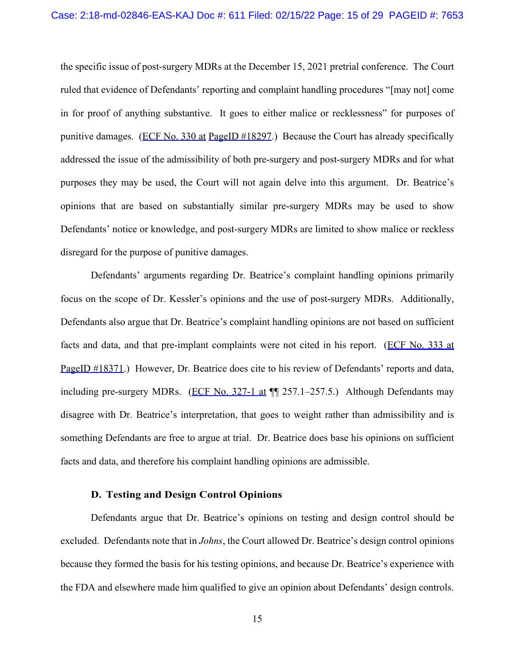the specific issue of post-surgery MDRs at the December 15, 2021 pretrial conference. The Court ruled that evidence of Defendants' reporting and complaint handling procedures "[may not] come in for proof of anything substantive. It goes to either malice or recklessness" for purposes of punitive damages. (ECF No. 330 at PageID #18297.) Because the Court has already specifically addressed the issue of the admissibility of both pre-surgery and post-surgery MDRs and for what purposes they may be used, the Court will not again delve into this argument. Dr. Beatrice's opinions that are based on substantially similar pre-surgery MDRs may be used to show Defendants' notice or knowledge, and post-surgery MDRs are limited to show malice or reckless disregard for the purpose of punitive damages.

Defendants' arguments regarding Dr. Beatrice's complaint handling opinions primarily focus on the scope of Dr. Kessler's opinions and the use of post-surgery MDRs. Additionally, Defendants also argue that Dr. Beatrice's complaint handling opinions are not based on sufficient facts and data, and that pre-implant complaints were not cited in his report. (ECF No. 333 at PageID #18371.) However, Dr. Beatrice does cite to his review of Defendants' reports and data, including pre-surgery MDRs. (ECF No. 327-1 at  $\P$  257.1–257.5.) Although Defendants may disagree with Dr. Beatrice's interpretation, that goes to weight rather than admissibility and is something Defendants are free to argue at trial. Dr. Beatrice does base his opinions on sufficient facts and data, and therefore his complaint handling opinions are admissible.

### **D. Testing and Design Control Opinions**

Defendants argue that Dr. Beatrice's opinions on testing and design control should be excluded. Defendants note that in *Johns*, the Court allowed Dr. Beatrice's design control opinions because they formed the basis for his testing opinions, and because Dr. Beatrice's experience with the FDA and elsewhere made him qualified to give an opinion about Defendants' design controls.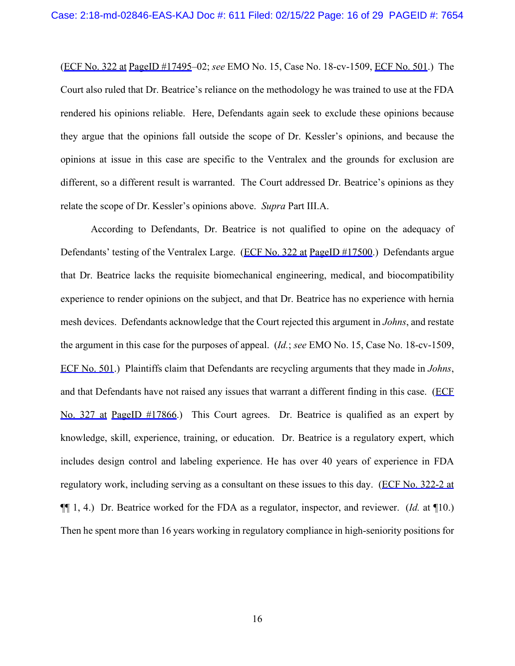(ECF No. 322 at PageID #17495–02; *see* EMO No. 15, Case No. 18-cv-1509, ECF No. 501.) The Court also ruled that Dr. Beatrice's reliance on the methodology he was trained to use at the FDA rendered his opinions reliable. Here, Defendants again seek to exclude these opinions because they argue that the opinions fall outside the scope of Dr. Kessler's opinions, and because the opinions at issue in this case are specific to the Ventralex and the grounds for exclusion are different, so a different result is warranted. The Court addressed Dr. Beatrice's opinions as they relate the scope of Dr. Kessler's opinions above. *Supra* Part III.A.

According to Defendants, Dr. Beatrice is not qualified to opine on the adequacy of Defendants' testing of the Ventralex Large. (ECF No. 322 at PageID #17500.) Defendants argue that Dr. Beatrice lacks the requisite biomechanical engineering, medical, and biocompatibility experience to render opinions on the subject, and that Dr. Beatrice has no experience with hernia mesh devices. Defendants acknowledge that the Court rejected this argument in *Johns*, and restate the argument in this case for the purposes of appeal. (*Id.*; *see* EMO No. 15, Case No. 18-cv-1509, ECF No. 501.) Plaintiffs claim that Defendants are recycling arguments that they made in *Johns*, and that Defendants have not raised any issues that warrant a different finding in this case. (ECF No. 327 at PageID #17866.) This Court agrees. Dr. Beatrice is qualified as an expert by knowledge, skill, experience, training, or education. Dr. Beatrice is a regulatory expert, which includes design control and labeling experience. He has over 40 years of experience in FDA regulatory work, including serving as a consultant on these issues to this day. (ECF No. 322-2 at ¶¶ 1, 4.) Dr. Beatrice worked for the FDA as a regulator, inspector, and reviewer. (*Id.* at ¶10.) Then he spent more than 16 years working in regulatory compliance in high-seniority positions for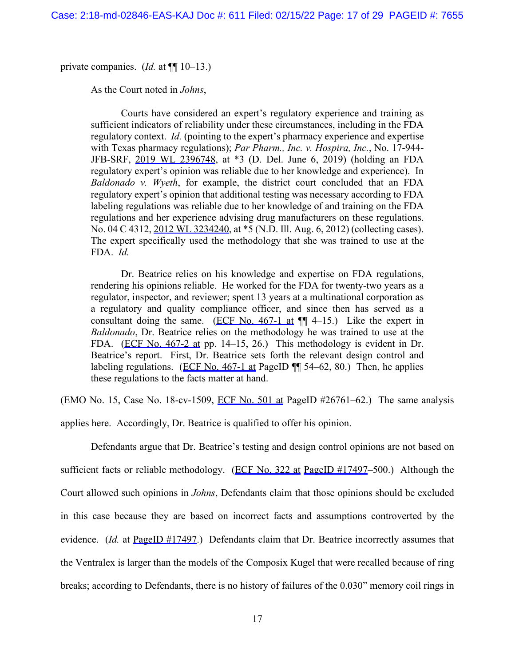private companies. (*Id.* at ¶¶ 10–13.)

As the Court noted in *Johns*,

Courts have considered an expert's regulatory experience and training as sufficient indicators of reliability under these circumstances, including in the FDA regulatory context. *Id.* (pointing to the expert's pharmacy experience and expertise with Texas pharmacy regulations); *Par Pharm., Inc. v. Hospira, Inc.*, No. 17-944- JFB-SRF, 2019 WL 2396748, at \*3 (D. Del. June 6, 2019) (holding an FDA regulatory expert's opinion was reliable due to her knowledge and experience). In *Baldonado v. Wyeth*, for example, the district court concluded that an FDA regulatory expert's opinion that additional testing was necessary according to FDA labeling regulations was reliable due to her knowledge of and training on the FDA regulations and her experience advising drug manufacturers on these regulations. No. 04 C 4312, 2012 WL 3234240, at \*5 (N.D. Ill. Aug. 6, 2012) (collecting cases). The expert specifically used the methodology that she was trained to use at the FDA. *Id.*

Dr. Beatrice relies on his knowledge and expertise on FDA regulations, rendering his opinions reliable. He worked for the FDA for twenty-two years as a regulator, inspector, and reviewer; spent 13 years at a multinational corporation as a regulatory and quality compliance officer, and since then has served as a consultant doing the same. (ECF No.  $467-1$  at  $\P$  4–15.) Like the expert in *Baldonado*, Dr. Beatrice relies on the methodology he was trained to use at the FDA. (ECF No. 467-2 at pp. 14–15, 26.) This methodology is evident in Dr. Beatrice's report. First, Dr. Beatrice sets forth the relevant design control and labeling regulations. (ECF No. 467-1 at PageID  $\P$  54–62, 80.) Then, he applies these regulations to the facts matter at hand.

(EMO No. 15, Case No. 18-cv-1509, ECF No. 501 at PageID  $#26761-62$ .) The same analysis applies here. Accordingly, Dr. Beatrice is qualified to offer his opinion.

Defendants argue that Dr. Beatrice's testing and design control opinions are not based on sufficient facts or reliable methodology. (ECF No. 322 at PageID #17497–500.) Although the Court allowed such opinions in *Johns*, Defendants claim that those opinions should be excluded in this case because they are based on incorrect facts and assumptions controverted by the evidence. *(Id.* at PageID #17497.) Defendants claim that Dr. Beatrice incorrectly assumes that the Ventralex is larger than the models of the Composix Kugel that were recalled because of ring breaks; according to Defendants, there is no history of failures of the 0.030" memory coil rings in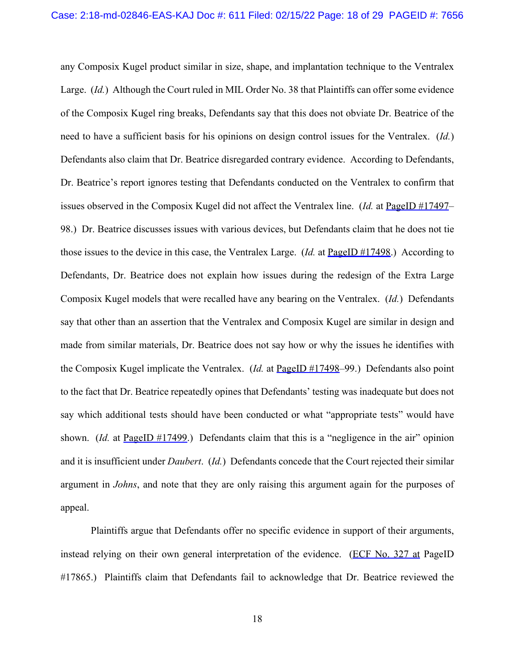any Composix Kugel product similar in size, shape, and implantation technique to the Ventralex Large. (*Id.*) Although the Court ruled in MIL Order No. 38 that Plaintiffs can offer some evidence of the Composix Kugel ring breaks, Defendants say that this does not obviate Dr. Beatrice of the need to have a sufficient basis for his opinions on design control issues for the Ventralex. (*Id.*) Defendants also claim that Dr. Beatrice disregarded contrary evidence. According to Defendants, Dr. Beatrice's report ignores testing that Defendants conducted on the Ventralex to confirm that issues observed in the Composix Kugel did not affect the Ventralex line. (*Id.* at PageID #17497– 98.) Dr. Beatrice discusses issues with various devices, but Defendants claim that he does not tie those issues to the device in this case, the Ventralex Large. (*Id.* at PageID #17498.) According to Defendants, Dr. Beatrice does not explain how issues during the redesign of the Extra Large Composix Kugel models that were recalled have any bearing on the Ventralex. (*Id.*) Defendants say that other than an assertion that the Ventralex and Composix Kugel are similar in design and made from similar materials, Dr. Beatrice does not say how or why the issues he identifies with the Composix Kugel implicate the Ventralex. (*Id.* at PageID #17498–99.) Defendants also point to the fact that Dr. Beatrice repeatedly opines that Defendants' testing was inadequate but does not say which additional tests should have been conducted or what "appropriate tests" would have shown. *(Id.* at PageID #17499.) Defendants claim that this is a "negligence in the air" opinion and it is insufficient under *Daubert*. (*Id.*) Defendants concede that the Court rejected their similar argument in *Johns*, and note that they are only raising this argument again for the purposes of appeal.

Plaintiffs argue that Defendants offer no specific evidence in support of their arguments, instead relying on their own general interpretation of the evidence. (ECF No. 327 at PageID #17865.) Plaintiffs claim that Defendants fail to acknowledge that Dr. Beatrice reviewed the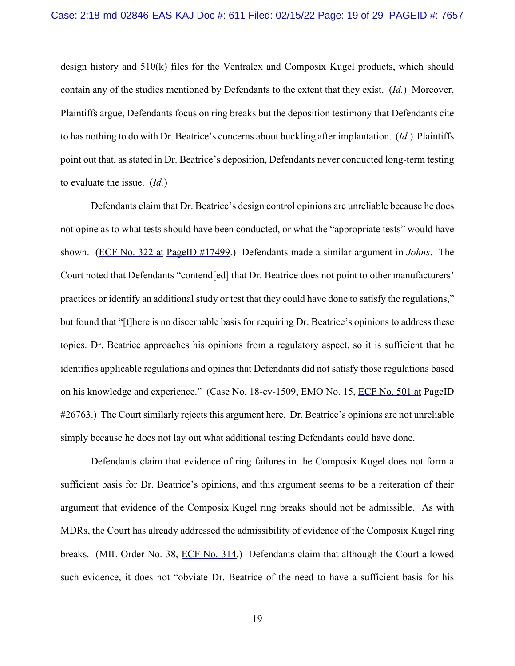design history and 510(k) files for the Ventralex and Composix Kugel products, which should contain any of the studies mentioned by Defendants to the extent that they exist. (*Id.*) Moreover, Plaintiffs argue, Defendants focus on ring breaks but the deposition testimony that Defendants cite to has nothing to do with Dr. Beatrice's concerns about buckling after implantation. (*Id.*) Plaintiffs point out that, as stated in Dr. Beatrice's deposition, Defendants never conducted long-term testing to evaluate the issue. (*Id.*)

Defendants claim that Dr. Beatrice's design control opinions are unreliable because he does not opine as to what tests should have been conducted, or what the "appropriate tests" would have shown. (ECF No. 322 at PageID #17499.) Defendants made a similar argument in *Johns*. The Court noted that Defendants "contend[ed] that Dr. Beatrice does not point to other manufacturers' practices or identify an additional study or test that they could have done to satisfy the regulations," but found that "[t]here is no discernable basis for requiring Dr. Beatrice's opinions to address these topics. Dr. Beatrice approaches his opinions from a regulatory aspect, so it is sufficient that he identifies applicable regulations and opines that Defendants did not satisfy those regulations based on his knowledge and experience." (Case No. 18-cv-1509, EMO No. 15, ECF No. 501 at PageID #26763.) The Court similarly rejects this argument here. Dr. Beatrice's opinions are not unreliable simply because he does not lay out what additional testing Defendants could have done.

Defendants claim that evidence of ring failures in the Composix Kugel does not form a sufficient basis for Dr. Beatrice's opinions, and this argument seems to be a reiteration of their argument that evidence of the Composix Kugel ring breaks should not be admissible. As with MDRs, the Court has already addressed the admissibility of evidence of the Composix Kugel ring breaks. (MIL Order No. 38, ECF No. 314.) Defendants claim that although the Court allowed such evidence, it does not "obviate Dr. Beatrice of the need to have a sufficient basis for his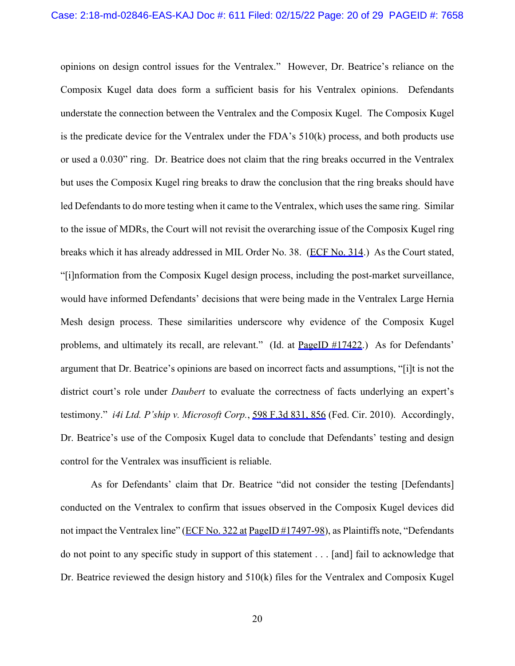opinions on design control issues for the Ventralex." However, Dr. Beatrice's reliance on the Composix Kugel data does form a sufficient basis for his Ventralex opinions. Defendants understate the connection between the Ventralex and the Composix Kugel. The Composix Kugel is the predicate device for the Ventralex under the FDA's 510(k) process, and both products use or used a 0.030" ring. Dr. Beatrice does not claim that the ring breaks occurred in the Ventralex but uses the Composix Kugel ring breaks to draw the conclusion that the ring breaks should have led Defendants to do more testing when it came to the Ventralex, which uses the same ring. Similar to the issue of MDRs, the Court will not revisit the overarching issue of the Composix Kugel ring breaks which it has already addressed in MIL Order No. 38. (ECF No. 314.) As the Court stated, "[i]nformation from the Composix Kugel design process, including the post-market surveillance, would have informed Defendants' decisions that were being made in the Ventralex Large Hernia Mesh design process. These similarities underscore why evidence of the Composix Kugel problems, and ultimately its recall, are relevant." (Id. at PageID #17422.) As for Defendants' argument that Dr. Beatrice's opinions are based on incorrect facts and assumptions, "[i]t is not the district court's role under *Daubert* to evaluate the correctness of facts underlying an expert's testimony." *i4i Ltd. P'ship v. Microsoft Corp.*, 598 F.3d 831, 856 (Fed. Cir. 2010). Accordingly, Dr. Beatrice's use of the Composix Kugel data to conclude that Defendants' testing and design control for the Ventralex was insufficient is reliable.

As for Defendants' claim that Dr. Beatrice "did not consider the testing [Defendants] conducted on the Ventralex to confirm that issues observed in the Composix Kugel devices did not impact the Ventralex line" (ECF No. 322 at PageID #17497-98), as Plaintiffs note, "Defendants do not point to any specific study in support of this statement . . . [and] fail to acknowledge that Dr. Beatrice reviewed the design history and 510(k) files for the Ventralex and Composix Kugel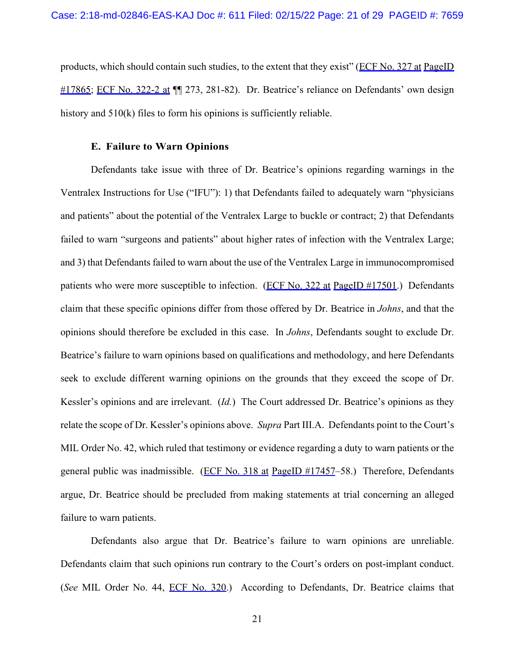products, which should contain such studies, to the extent that they exist" (ECF No. 327 at PageID #17865; ECF No. 322-2 at ¶¶ 273, 281-82). Dr. Beatrice's reliance on Defendants' own design history and 510(k) files to form his opinions is sufficiently reliable.

#### **E. Failure to Warn Opinions**

Defendants take issue with three of Dr. Beatrice's opinions regarding warnings in the Ventralex Instructions for Use ("IFU"): 1) that Defendants failed to adequately warn "physicians and patients" about the potential of the Ventralex Large to buckle or contract; 2) that Defendants failed to warn "surgeons and patients" about higher rates of infection with the Ventralex Large; and 3) that Defendants failed to warn about the use of the Ventralex Large in immunocompromised patients who were more susceptible to infection. (ECF No. 322 at PageID #17501.) Defendants claim that these specific opinions differ from those offered by Dr. Beatrice in *Johns*, and that the opinions should therefore be excluded in this case. In *Johns*, Defendants sought to exclude Dr. Beatrice's failure to warn opinions based on qualifications and methodology, and here Defendants seek to exclude different warning opinions on the grounds that they exceed the scope of Dr. Kessler's opinions and are irrelevant. (*Id.*) The Court addressed Dr. Beatrice's opinions as they relate the scope of Dr. Kessler's opinions above. *Supra* Part III.A. Defendants point to the Court's MIL Order No. 42, which ruled that testimony or evidence regarding a duty to warn patients or the general public was inadmissible. (ECF No. 318 at PageID #17457-58.) Therefore, Defendants argue, Dr. Beatrice should be precluded from making statements at trial concerning an alleged failure to warn patients.

Defendants also argue that Dr. Beatrice's failure to warn opinions are unreliable. Defendants claim that such opinions run contrary to the Court's orders on post-implant conduct. (*See* MIL Order No. 44, ECF No. 320.) According to Defendants, Dr. Beatrice claims that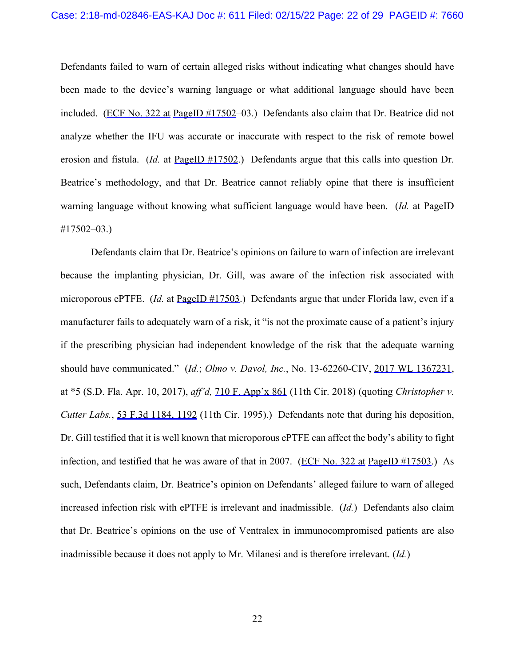Defendants failed to warn of certain alleged risks without indicating what changes should have been made to the device's warning language or what additional language should have been included. (ECF No. 322 at PageID #17502-03.) Defendants also claim that Dr. Beatrice did not analyze whether the IFU was accurate or inaccurate with respect to the risk of remote bowel erosion and fistula. (*Id.* at PageID #17502.) Defendants argue that this calls into question Dr. Beatrice's methodology, and that Dr. Beatrice cannot reliably opine that there is insufficient warning language without knowing what sufficient language would have been. (*Id.* at PageID #17502–03.)

Defendants claim that Dr. Beatrice's opinions on failure to warn of infection are irrelevant because the implanting physician, Dr. Gill, was aware of the infection risk associated with microporous ePTFE. (*Id.* at PageID #17503.) Defendants argue that under Florida law, even if a manufacturer fails to adequately warn of a risk, it "is not the proximate cause of a patient's injury if the prescribing physician had independent knowledge of the risk that the adequate warning should have communicated." (*Id.*; *Olmo v. Davol, Inc.*, No. 13-62260-CIV, 2017 WL 1367231, at \*5 (S.D. Fla. Apr. 10, 2017), *aff'd,* 710 F. App'x 861 (11th Cir. 2018) (quoting *Christopher v. Cutter Labs.*, 53 F.3d 1184, 1192 (11th Cir. 1995).) Defendants note that during his deposition, Dr. Gill testified that it is well known that microporous ePTFE can affect the body's ability to fight infection, and testified that he was aware of that in 2007. (ECF No. 322 at PageID #17503.) As such, Defendants claim, Dr. Beatrice's opinion on Defendants' alleged failure to warn of alleged increased infection risk with ePTFE is irrelevant and inadmissible. (*Id.*) Defendants also claim that Dr. Beatrice's opinions on the use of Ventralex in immunocompromised patients are also inadmissible because it does not apply to Mr. Milanesi and is therefore irrelevant. (*Id.*)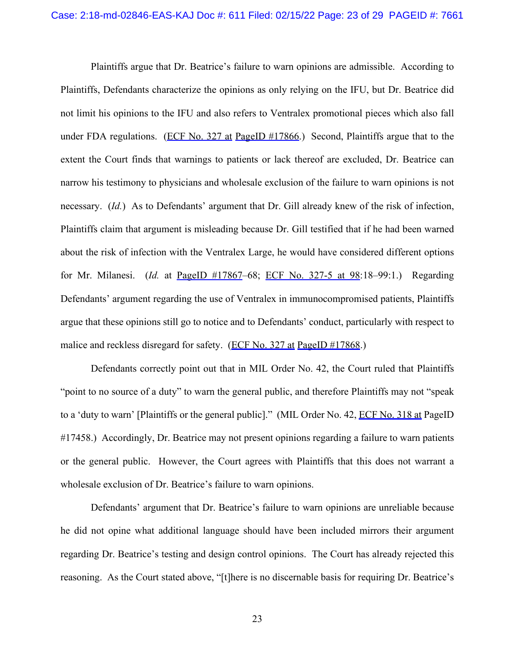Plaintiffs argue that Dr. Beatrice's failure to warn opinions are admissible. According to Plaintiffs, Defendants characterize the opinions as only relying on the IFU, but Dr. Beatrice did not limit his opinions to the IFU and also refers to Ventralex promotional pieces which also fall under FDA regulations. (ECF No. 327 at PageID #17866.) Second, Plaintiffs argue that to the extent the Court finds that warnings to patients or lack thereof are excluded, Dr. Beatrice can narrow his testimony to physicians and wholesale exclusion of the failure to warn opinions is not necessary. (*Id.*) As to Defendants' argument that Dr. Gill already knew of the risk of infection, Plaintiffs claim that argument is misleading because Dr. Gill testified that if he had been warned about the risk of infection with the Ventralex Large, he would have considered different options for Mr. Milanesi. (*Id.* at PageID #17867–68; ECF No. 327-5 at 98:18–99:1.) Regarding Defendants' argument regarding the use of Ventralex in immunocompromised patients, Plaintiffs argue that these opinions still go to notice and to Defendants' conduct, particularly with respect to malice and reckless disregard for safety. (ECF No. 327 at PageID #17868.)

Defendants correctly point out that in MIL Order No. 42, the Court ruled that Plaintiffs "point to no source of a duty" to warn the general public, and therefore Plaintiffs may not "speak" to a 'duty to warn' [Plaintiffs or the general public]." (MIL Order No. 42, ECF No. 318 at PageID #17458.) Accordingly, Dr. Beatrice may not present opinions regarding a failure to warn patients or the general public. However, the Court agrees with Plaintiffs that this does not warrant a wholesale exclusion of Dr. Beatrice's failure to warn opinions.

Defendants' argument that Dr. Beatrice's failure to warn opinions are unreliable because he did not opine what additional language should have been included mirrors their argument regarding Dr. Beatrice's testing and design control opinions. The Court has already rejected this reasoning. As the Court stated above, "[t]here is no discernable basis for requiring Dr. Beatrice's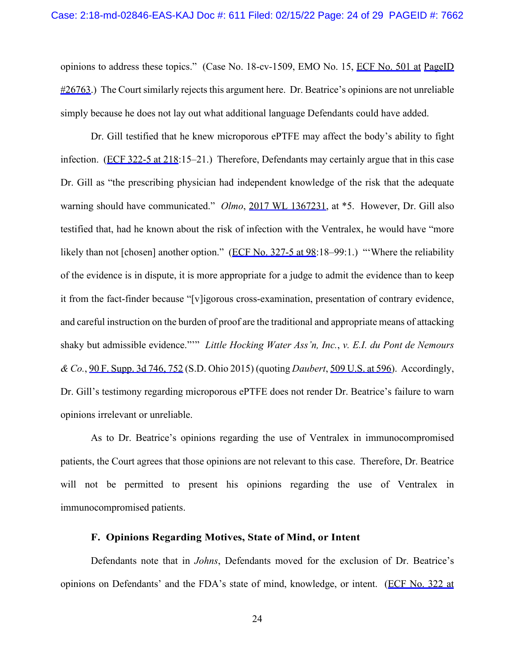opinions to address these topics." (Case No. 18-cv-1509, EMO No. 15, ECF No. 501 at PageID  $\#26763$ .) The Court similarly rejects this argument here. Dr. Beatrice's opinions are not unreliable simply because he does not lay out what additional language Defendants could have added.

Dr. Gill testified that he knew microporous ePTFE may affect the body's ability to fight infection. (ECF 322-5 at 218:15–21.) Therefore, Defendants may certainly argue that in this case Dr. Gill as "the prescribing physician had independent knowledge of the risk that the adequate warning should have communicated." *Olmo*, 2017 WL 1367231, at \*5. However, Dr. Gill also testified that, had he known about the risk of infection with the Ventralex, he would have "more likely than not [chosen] another option." (ECF No. 327-5 at 98:18–99:1.) "Where the reliability of the evidence is in dispute, it is more appropriate for a judge to admit the evidence than to keep it from the fact-finder because "[v]igorous cross-examination, presentation of contrary evidence, and careful instruction on the burden of proof are the traditional and appropriate means of attacking shaky but admissible evidence."'" *Little Hocking Water Ass'n, Inc.*, *v. E.I. du Pont de Nemours & Co.*, 90 F. Supp. 3d 746, 752 (S.D. Ohio 2015) (quoting *Daubert*, 509 U.S. at 596). Accordingly, Dr. Gill's testimony regarding microporous ePTFE does not render Dr. Beatrice's failure to warn opinions irrelevant or unreliable.

As to Dr. Beatrice's opinions regarding the use of Ventralex in immunocompromised patients, the Court agrees that those opinions are not relevant to this case. Therefore, Dr. Beatrice will not be permitted to present his opinions regarding the use of Ventralex in immunocompromised patients.

### **F. Opinions Regarding Motives, State of Mind, or Intent**

Defendants note that in *Johns*, Defendants moved for the exclusion of Dr. Beatrice's opinions on Defendants' and the FDA's state of mind, knowledge, or intent. (ECF No. 322 at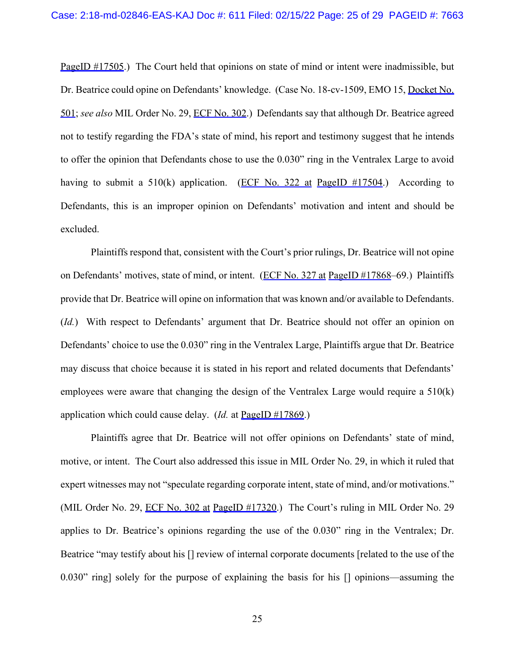PageID #17505.) The Court held that opinions on state of mind or intent were inadmissible, but Dr. Beatrice could opine on Defendants' knowledge. (Case No. 18-cv-1509, EMO 15, Docket No. 501; *see also* MIL Order No. 29, ECF No. 302.) Defendants say that although Dr. Beatrice agreed not to testify regarding the FDA's state of mind, his report and testimony suggest that he intends to offer the opinion that Defendants chose to use the 0.030" ring in the Ventralex Large to avoid having to submit a  $510(k)$  application. (ECF No. 322 at PageID #17504.) According to Defendants, this is an improper opinion on Defendants' motivation and intent and should be excluded.

Plaintiffs respond that, consistent with the Court's prior rulings, Dr. Beatrice will not opine on Defendants' motives, state of mind, or intent. (ECF No. 327 at PageID #17868–69.) Plaintiffs provide that Dr. Beatrice will opine on information that was known and/or available to Defendants. (*Id.*) With respect to Defendants' argument that Dr. Beatrice should not offer an opinion on Defendants' choice to use the 0.030" ring in the Ventralex Large, Plaintiffs argue that Dr. Beatrice may discuss that choice because it is stated in his report and related documents that Defendants' employees were aware that changing the design of the Ventralex Large would require a 510(k) application which could cause delay. (*Id.* at PageID #17869.)

Plaintiffs agree that Dr. Beatrice will not offer opinions on Defendants' state of mind, motive, or intent. The Court also addressed this issue in MIL Order No. 29, in which it ruled that expert witnesses may not "speculate regarding corporate intent, state of mind, and/or motivations." (MIL Order No. 29, ECF No. 302 at PageID #17320.) The Court's ruling in MIL Order No. 29 applies to Dr. Beatrice's opinions regarding the use of the 0.030" ring in the Ventralex; Dr. Beatrice "may testify about his [] review of internal corporate documents [related to the use of the 0.030" ring] solely for the purpose of explaining the basis for his [] opinions—assuming the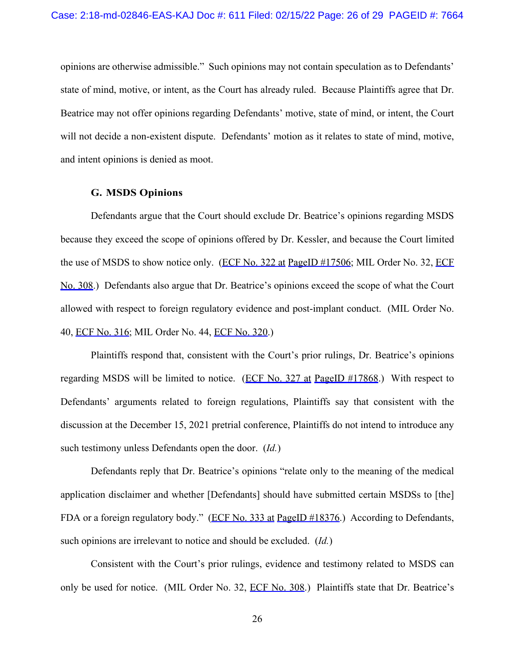opinions are otherwise admissible." Such opinions may not contain speculation as to Defendants' state of mind, motive, or intent, as the Court has already ruled. Because Plaintiffs agree that Dr. Beatrice may not offer opinions regarding Defendants' motive, state of mind, or intent, the Court will not decide a non-existent dispute. Defendants' motion as it relates to state of mind, motive, and intent opinions is denied as moot.

### **G. MSDS Opinions**

Defendants argue that the Court should exclude Dr. Beatrice's opinions regarding MSDS because they exceed the scope of opinions offered by Dr. Kessler, and because the Court limited the use of MSDS to show notice only. (ECF No. 322 at PageID #17506; MIL Order No. 32, ECF No. 308.) Defendants also argue that Dr. Beatrice's opinions exceed the scope of what the Court allowed with respect to foreign regulatory evidence and post-implant conduct. (MIL Order No. 40, ECF No. 316; MIL Order No. 44, ECF No. 320.)

Plaintiffs respond that, consistent with the Court's prior rulings, Dr. Beatrice's opinions regarding MSDS will be limited to notice. (ECF No. 327 at PageID #17868.) With respect to Defendants' arguments related to foreign regulations, Plaintiffs say that consistent with the discussion at the December 15, 2021 pretrial conference, Plaintiffs do not intend to introduce any such testimony unless Defendants open the door. (*Id.*)

Defendants reply that Dr. Beatrice's opinions "relate only to the meaning of the medical application disclaimer and whether [Defendants] should have submitted certain MSDSs to [the] FDA or a foreign regulatory body." (ECF No. 333 at PageID #18376.) According to Defendants, such opinions are irrelevant to notice and should be excluded. (*Id.*)

Consistent with the Court's prior rulings, evidence and testimony related to MSDS can only be used for notice. (MIL Order No. 32, ECF No. 308.) Plaintiffs state that Dr. Beatrice's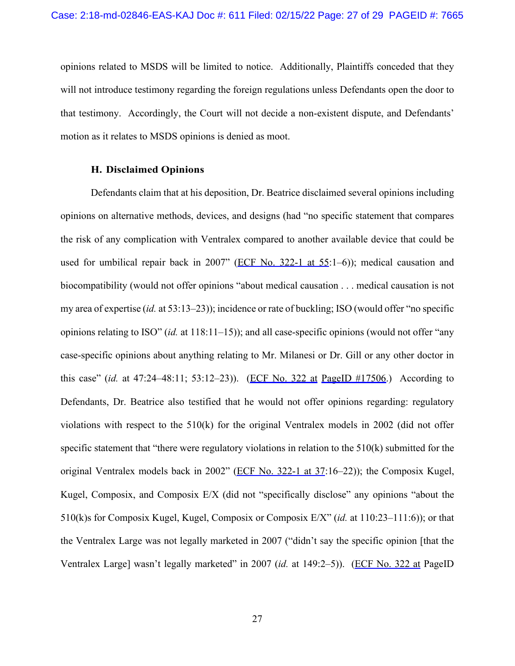opinions related to MSDS will be limited to notice. Additionally, Plaintiffs conceded that they will not introduce testimony regarding the foreign regulations unless Defendants open the door to that testimony. Accordingly, the Court will not decide a non-existent dispute, and Defendants' motion as it relates to MSDS opinions is denied as moot.

#### **H. Disclaimed Opinions**

Defendants claim that at his deposition, Dr. Beatrice disclaimed several opinions including opinions on alternative methods, devices, and designs (had "no specific statement that compares the risk of any complication with Ventralex compared to another available device that could be used for umbilical repair back in 2007" (ECF No. 322-1 at 55:1-6)); medical causation and biocompatibility (would not offer opinions "about medical causation . . . medical causation is not my area of expertise (*id.* at 53:13–23)); incidence or rate of buckling; ISO (would offer "no specific opinions relating to ISO" (*id.* at 118:11–15)); and all case-specific opinions (would not offer "any case-specific opinions about anything relating to Mr. Milanesi or Dr. Gill or any other doctor in this case" (*id.* at 47:24–48:11; 53:12–23)). (ECF No. 322 at PageID #17506.) According to Defendants, Dr. Beatrice also testified that he would not offer opinions regarding: regulatory violations with respect to the 510(k) for the original Ventralex models in 2002 (did not offer specific statement that "there were regulatory violations in relation to the 510(k) submitted for the original Ventralex models back in 2002" (ECF No. 322-1 at 37:16-22)); the Composix Kugel, Kugel, Composix, and Composix E/X (did not "specifically disclose" any opinions "about the 510(k)s for Composix Kugel, Kugel, Composix or Composix E/X" (*id.* at 110:23–111:6)); or that the Ventralex Large was not legally marketed in 2007 ("didn't say the specific opinion [that the Ventralex Large] wasn't legally marketed" in 2007 (*id.* at 149:2–5)). (ECF No. 322 at PageID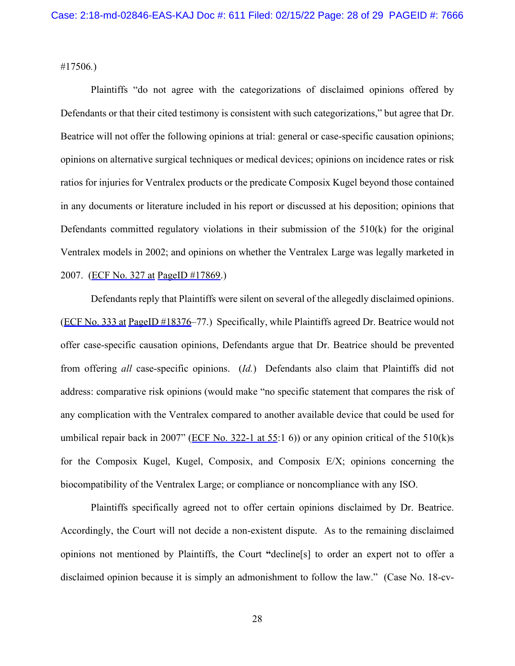#17506*.*)

Plaintiffs "do not agree with the categorizations of disclaimed opinions offered by Defendants or that their cited testimony is consistent with such categorizations," but agree that Dr. Beatrice will not offer the following opinions at trial: general or case-specific causation opinions; opinions on alternative surgical techniques or medical devices; opinions on incidence rates or risk ratios for injuries for Ventralex products or the predicate Composix Kugel beyond those contained in any documents or literature included in his report or discussed at his deposition; opinions that Defendants committed regulatory violations in their submission of the 510(k) for the original Ventralex models in 2002; and opinions on whether the Ventralex Large was legally marketed in 2007. (ECF No. 327 at PageID #17869.)

Defendants reply that Plaintiffs were silent on several of the allegedly disclaimed opinions. (ECF No. 333 at PageID #18376–77.) Specifically, while Plaintiffs agreed Dr. Beatrice would not offer case-specific causation opinions, Defendants argue that Dr. Beatrice should be prevented from offering *all* case-specific opinions. (*Id.*) Defendants also claim that Plaintiffs did not address: comparative risk opinions (would make "no specific statement that compares the risk of any complication with the Ventralex compared to another available device that could be used for umbilical repair back in 2007" (ECF No. 322-1 at 55:1 6)) or any opinion critical of the 510(k)s for the Composix Kugel, Kugel, Composix, and Composix E/X; opinions concerning the biocompatibility of the Ventralex Large; or compliance or noncompliance with any ISO.

Plaintiffs specifically agreed not to offer certain opinions disclaimed by Dr. Beatrice. Accordingly, the Court will not decide a non-existent dispute.As to the remaining disclaimed opinions not mentioned by Plaintiffs, the Court **"**decline[s] to order an expert not to offer a disclaimed opinion because it is simply an admonishment to follow the law." (Case No. 18-cv-